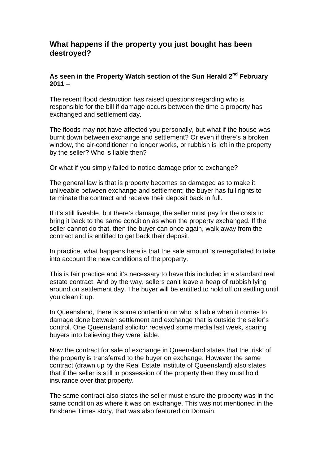## **What happens if the property you just bought has been destroyed?**

## **As seen in the Property Watch section of the Sun Herald 2nd February**   $2011 -$

The recent flood destruction has raised questions regarding who is responsible for the bill if damage occurs between the time a property has exchanged and settlement day.

The floods may not have affected you personally, but what if the house was burnt down between exchange and settlement? Or even if there's a broken window, the air-conditioner no longer works, or rubbish is left in the property by the seller? Who is liable then?

Or what if you simply failed to notice damage prior to exchange?

The general law is that is property becomes so damaged as to make it unliveable between exchange and settlement; the buyer has full rights to terminate the contract and receive their deposit back in full.

If it's still liveable, but there's damage, the seller must pay for the costs to bring it back to the same condition as when the property exchanged. If the seller cannot do that, then the buyer can once again, walk away from the contract and is entitled to get back their deposit.

In practice, what happens here is that the sale amount is renegotiated to take into account the new conditions of the property.

This is fair practice and it's necessary to have this included in a standard real estate contract. And by the way, sellers can't leave a heap of rubbish lying around on settlement day. The buyer will be entitled to hold off on settling until you clean it up.

In Queensland, there is some contention on who is liable when it comes to damage done between settlement and exchange that is outside the seller's control. One Queensland solicitor received some media last week, scaring buyers into believing they were liable.

Now the contract for sale of exchange in Queensland states that the 'risk' of the property is transferred to the buyer on exchange. However the same contract (drawn up by the Real Estate Institute of Queensland) also states that if the seller is still in possession of the property then they must hold insurance over that property.

The same contract also states the seller must ensure the property was in the same condition as where it was on exchange. This was not mentioned in the Brisbane Times story, that was also featured on Domain.